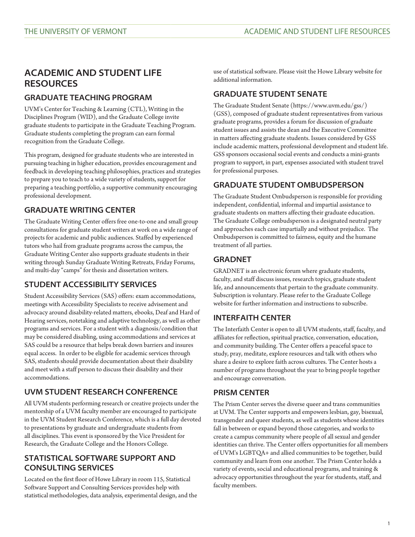# **ACADEMIC AND STUDENT LIFE RESOURCES**

#### **GRADUATE TEACHING PROGRAM**

UVM's Center for Teaching & Learning (CTL), Writing in the Disciplines Program (WID), and the Graduate College invite graduate students to participate in the Graduate Teaching Program. Graduate students completing the program can earn formal recognition from the Graduate College.

This program, designed for graduate students who are interested in pursuing teaching in higher education, provides encouragement and feedback in developing teaching philosophies, practices and strategies to prepare you to teach to a wide variety of students, support for preparing a teaching portfolio, a supportive community encouraging professional development.

# **GRADUATE WRITING CENTER**

The Graduate Writing Center offers free one-to-one and small group consultations for graduate student writers at work on a wide range of projects for academic and public audiences. Staffed by experienced tutors who hail from graduate programs across the campus, the Graduate Writing Center also supports graduate students in their writing through Sunday Graduate Writing Retreats, Friday Forums, and multi-day "camps" for thesis and dissertation writers.

### **STUDENT ACCESSIBILITY SERVICES**

Student Accessibility Services (SAS) offers: exam accommodations, meetings with Accessibility Specialists to receive advisement and advocacy around disability-related matters, ebooks, Deaf and Hard of Hearing services, notetaking and adaptive technology, as well as other programs and services. For a student with a diagnosis/condition that may be considered disabling, using accommodations and services at SAS could be a resource that helps break down barriers and insures equal access. In order to be eligible for academic services through SAS, students should provide documentation about their disability and meet with a staff person to discuss their disability and their accommodations.

# **UVM STUDENT RESEARCH CONFERENCE**

All UVM students performing research or creative projects under the mentorship of a UVM faculty member are encouraged to participate in the UVM Student Research Conference, which is a full day devoted to presentations by graduate and undergraduate students from all disciplines. This event is sponsored by the Vice President for Research, the Graduate College and the Honors College.

#### **STATISTICAL SOFTWARE SUPPORT AND CONSULTING SERVICES**

Located on the first floor of Howe Library in room 115, Statistical Software Support and Consulting Services provides help with statistical methodologies, data analysis, experimental design, and the use of statistical software. Please visit the Howe Library website for additional information.

### **GRADUATE STUDENT SENATE**

The [Graduate Student Senate](https://www.uvm.edu/gss/) ([https://www.uvm.edu/gss/\)](https://www.uvm.edu/gss/) (GSS), composed of graduate student representatives from various graduate programs, provides a forum for discussion of graduate student issues and assists the dean and the Executive Committee in matters affecting graduate students. Issues considered by GSS include academic matters, professional development and student life. GSS sponsors occasional social events and conducts a mini-grants program to support, in part, expenses associated with student travel for professional purposes.

# **GRADUATE STUDENT OMBUDSPERSON**

The Graduate Student Ombudsperson is responsible for providing independent, confidential, informal and impartial assistance to graduate students on matters affecting their graduate education. The Graduate College ombudsperson is a designated neutral party and approaches each case impartially and without prejudice. The Ombudsperson is committed to fairness, equity and the humane treatment of all parties.

# **GRADNET**

GRADNET is an electronic forum where graduate students, faculty, and staff discuss issues, research topics, graduate student life, and announcements that pertain to the graduate community. Subscription is voluntary. Please refer to the Graduate College website for further information and instructions to subscribe.

# **INTERFAITH CENTER**

The Interfaith Center is open to all UVM students, staff, faculty, and affiliates for reflection, spiritual practice, conversation, education, and community building. The Center offers a peaceful space to study, pray, meditate, explore resources and talk with others who share a desire to explore faith across cultures. The Center hosts a number of programs throughout the year to bring people together and encourage conversation.

#### **PRISM CENTER**

The Prism Center serves the diverse queer and trans communities at UVM. The Center supports and empowers lesbian, gay, bisexual, transgender and queer students, as well as students whose identities fall in between or expand beyond those categories, and works to create a campus community where people of all sexual and gender identities can thrive. The Center offers opportunities for all members of UVM's LGBTQA+ and allied communities to be together, build community and learn from one another. The Prism Center holds a variety of events, social and educational programs, and training & advocacy opportunities throughout the year for students, staff, and faculty members.